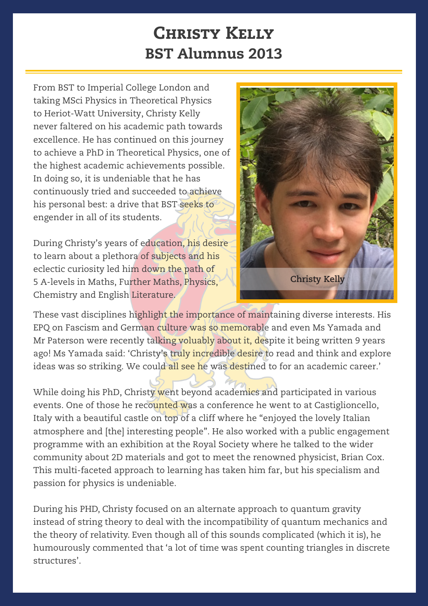## **CHRISTY KELLY** BST Alumnus 2013

From BST to Imperial College London and taking MSci Physics in Theoretical Physics to Heriot-Watt University, Christy Kelly never faltered on his academic path towards excellence. He has continued on this journey to achieve a PhD in Theoretical Physics, one of the highest academic achievements possible. In doing so, it is undeniable that he has continuously tried and succeeded to achieve his personal best: a drive that BST seeks to engender in all of its students.

During Christy's years of education, his desire to learn about a plethora of subjects and his eclectic curiosity led him down the path of 5 A-levels in Maths, Further Maths, Physics, Chemistry and English Literature.



These vast disciplines highlight the importance of maintaining diverse interests. His EPQ on Fascism and German culture was so memorable and even Ms Yamada and Mr Paterson were recently talking voluably about it, despite it being written 9 years ago! Ms Yamada said: 'Christy's truly incredible desire to read and think and explore ideas was so striking. We could all see he was destined to for an academic career.'

While doing his PhD, Christy went beyond academics and participated in various events. One of those he recounted was a conference he went to at Castiglioncello, Italy with a beautiful castle on top of a cliff where he "enjoyed the lovely Italian atmosphere and [the] interesting people". He also worked with a public engagement programme with an exhibition at the Royal Society where he talked to the wider community about 2D materials and got to meet the renowned physicist, Brian Cox. This multi-faceted approach to learning has taken him far, but his specialism and passion for physics is undeniable.

During his PHD, Christy focused on an alternate approach to quantum gravity instead of string theory to deal with the incompatibility of quantum mechanics and the theory of relativity. Even though all of this sounds complicated (which it is), he humourously commented that 'a lot of time was spent counting triangles in discrete structures'.